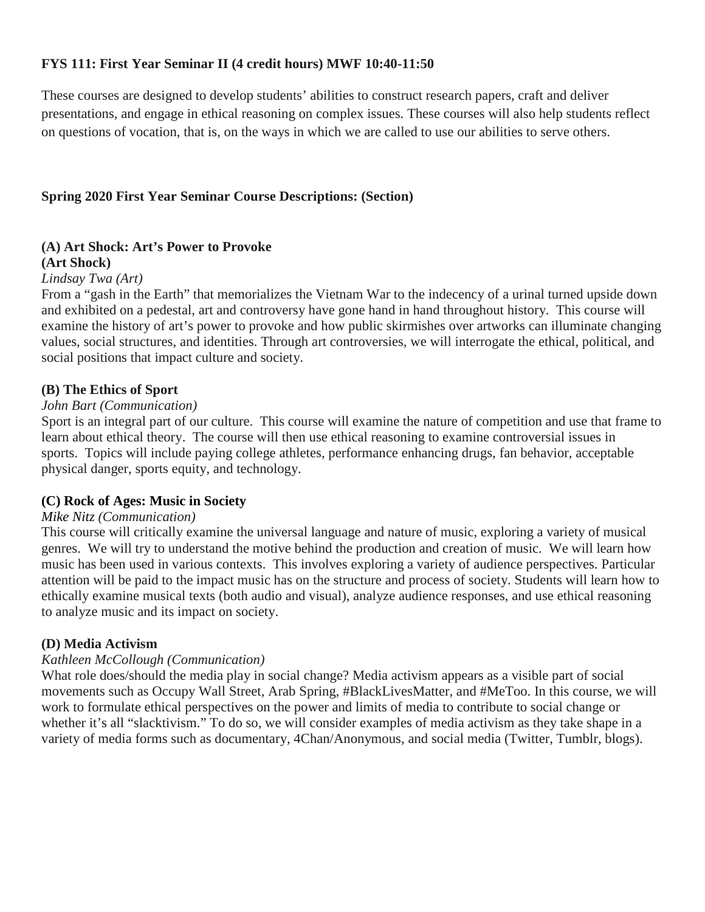# **FYS 111: First Year Seminar II (4 credit hours) MWF 10:40-11:50**

These courses are designed to develop students' abilities to construct research papers, craft and deliver presentations, and engage in ethical reasoning on complex issues. These courses will also help students reflect on questions of vocation, that is, on the ways in which we are called to use our abilities to serve others.

#### **Spring 2020 First Year Seminar Course Descriptions: (Section)**

### **(A) Art Shock: Art's Power to Provoke**

#### **(Art Shock)**

#### *Lindsay Twa (Art)*

From a "gash in the Earth" that memorializes the Vietnam War to the indecency of a urinal turned upside down and exhibited on a pedestal, art and controversy have gone hand in hand throughout history. This course will examine the history of art's power to provoke and how public skirmishes over artworks can illuminate changing values, social structures, and identities. Through art controversies, we will interrogate the ethical, political, and social positions that impact culture and society.

#### **(B) The Ethics of Sport**

#### *John Bart (Communication)*

Sport is an integral part of our culture. This course will examine the nature of competition and use that frame to learn about ethical theory. The course will then use ethical reasoning to examine controversial issues in sports. Topics will include paying college athletes, performance enhancing drugs, fan behavior, acceptable physical danger, sports equity, and technology.

#### **(C) Rock of Ages: Music in Society**

#### *Mike Nitz (Communication)*

This course will critically examine the universal language and nature of music, exploring a variety of musical genres. We will try to understand the motive behind the production and creation of music. We will learn how music has been used in various contexts. This involves exploring a variety of audience perspectives. Particular attention will be paid to the impact music has on the structure and process of society. Students will learn how to ethically examine musical texts (both audio and visual), analyze audience responses, and use ethical reasoning to analyze music and its impact on society.

#### **(D) Media Activism**

#### *Kathleen McCollough (Communication)*

What role does/should the media play in social change? Media activism appears as a visible part of social movements such as Occupy Wall Street, Arab Spring, #BlackLivesMatter, and #MeToo. In this course, we will work to formulate ethical perspectives on the power and limits of media to contribute to social change or whether it's all "slacktivism." To do so, we will consider examples of media activism as they take shape in a variety of media forms such as documentary, 4Chan/Anonymous, and social media (Twitter, Tumblr, blogs).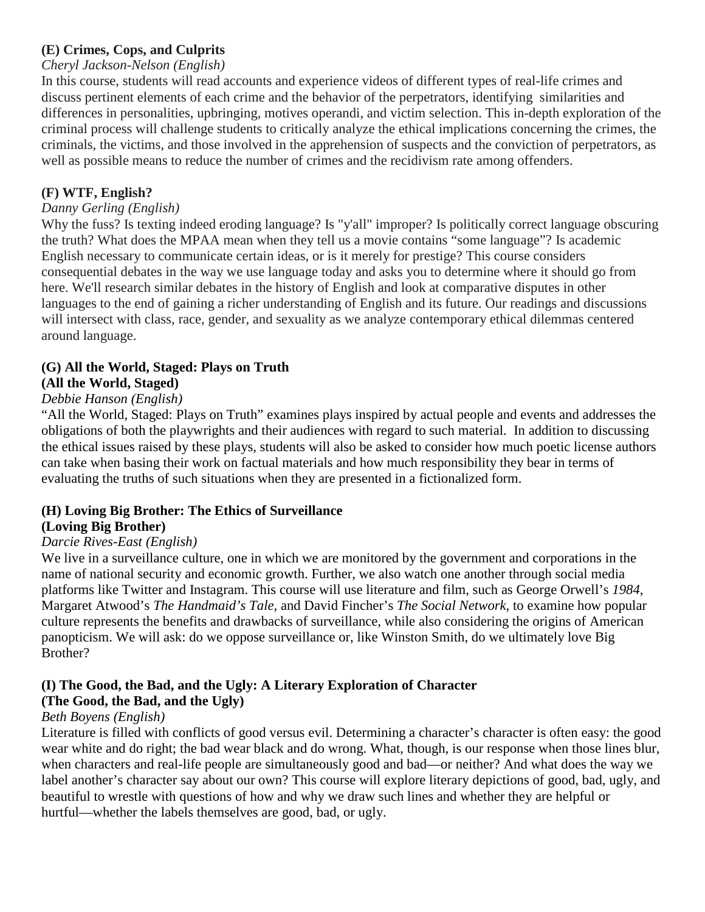# **(E) Crimes, Cops, and Culprits**

### *Cheryl Jackson-Nelson (English)*

In this course, students will read accounts and experience videos of different types of real-life crimes and discuss pertinent elements of each crime and the behavior of the perpetrators, identifying similarities and differences in personalities, upbringing, motives operandi, and victim selection. This in-depth exploration of the criminal process will challenge students to critically analyze the ethical implications concerning the crimes, the criminals, the victims, and those involved in the apprehension of suspects and the conviction of perpetrators, as well as possible means to reduce the number of crimes and the recidivism rate among offenders.

# **(F) WTF, English?**

#### *Danny Gerling (English)*

Why the fuss? Is texting indeed eroding language? Is "y'all" improper? Is politically correct language obscuring the truth? What does the MPAA mean when they tell us a movie contains "some language"? Is academic English necessary to communicate certain ideas, or is it merely for prestige? This course considers consequential debates in the way we use language today and asks you to determine where it should go from here. We'll research similar debates in the history of English and look at comparative disputes in other languages to the end of gaining a richer understanding of English and its future. Our readings and discussions will intersect with class, race, gender, and sexuality as we analyze contemporary ethical dilemmas centered around language.

#### **(G) All the World, Staged: Plays on Truth (All the World, Staged)**

# *Debbie Hanson (English)*

"All the World, Staged: Plays on Truth" examines plays inspired by actual people and events and addresses the obligations of both the playwrights and their audiences with regard to such material. In addition to discussing the ethical issues raised by these plays, students will also be asked to consider how much poetic license authors can take when basing their work on factual materials and how much responsibility they bear in terms of evaluating the truths of such situations when they are presented in a fictionalized form.

### **(H) Loving Big Brother: The Ethics of Surveillance**

### **(Loving Big Brother)**

### *Darcie Rives-East (English)*

We live in a surveillance culture, one in which we are monitored by the government and corporations in the name of national security and economic growth. Further, we also watch one another through social media platforms like Twitter and Instagram. This course will use literature and film, such as George Orwell's *1984*, Margaret Atwood's *The Handmaid's Tale*, and David Fincher's *The Social Network,* to examine how popular culture represents the benefits and drawbacks of surveillance, while also considering the origins of American panopticism. We will ask: do we oppose surveillance or, like Winston Smith, do we ultimately love Big Brother?

# **(I) The Good, the Bad, and the Ugly: A Literary Exploration of Character**

# **(The Good, the Bad, and the Ugly)**

# *Beth Boyens (English)*

Literature is filled with conflicts of good versus evil. Determining a character's character is often easy: the good wear white and do right; the bad wear black and do wrong. What, though, is our response when those lines blur, when characters and real-life people are simultaneously good and bad—or neither? And what does the way we label another's character say about our own? This course will explore literary depictions of good, bad, ugly, and beautiful to wrestle with questions of how and why we draw such lines and whether they are helpful or hurtful—whether the labels themselves are good, bad, or ugly.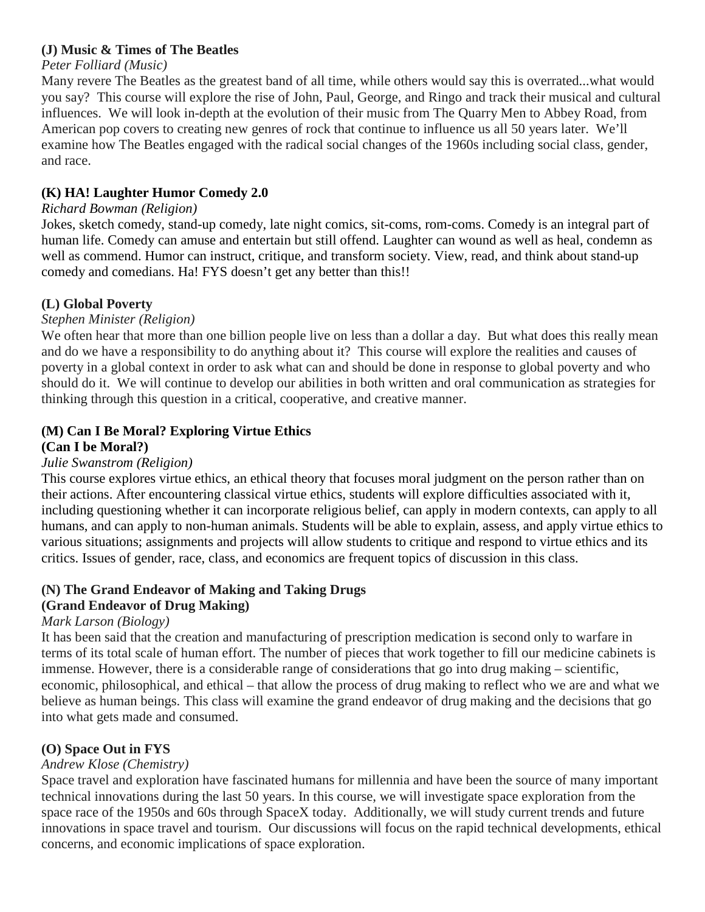# **(J) Music & Times of The Beatles**

# *Peter Folliard (Music)*

Many revere The Beatles as the greatest band of all time, while others would say this is overrated...what would you say? This course will explore the rise of John, Paul, George, and Ringo and track their musical and cultural influences. We will look in-depth at the evolution of their music from The Quarry Men to Abbey Road, from American pop covers to creating new genres of rock that continue to influence us all 50 years later. We'll examine how The Beatles engaged with the radical social changes of the 1960s including social class, gender, and race.

# **(K) HA! Laughter Humor Comedy 2.0**

# *Richard Bowman (Religion)*

Jokes, sketch comedy, stand-up comedy, late night comics, sit-coms, rom-coms. Comedy is an integral part of human life. Comedy can amuse and entertain but still offend. Laughter can wound as well as heal, condemn as well as commend. Humor can instruct, critique, and transform society. View, read, and think about stand-up comedy and comedians. Ha! FYS doesn't get any better than this!!

# **(L) Global Poverty**

# *Stephen Minister (Religion)*

We often hear that more than one billion people live on less than a dollar a day. But what does this really mean and do we have a responsibility to do anything about it? This course will explore the realities and causes of poverty in a global context in order to ask what can and should be done in response to global poverty and who should do it. We will continue to develop our abilities in both written and oral communication as strategies for thinking through this question in a critical, cooperative, and creative manner.

#### **(M) Can I Be Moral? Exploring Virtue Ethics (Can I be Moral?)**

# *Julie Swanstrom (Religion)*

This course explores virtue ethics, an ethical theory that focuses moral judgment on the person rather than on their actions. After encountering classical virtue ethics, students will explore difficulties associated with it, including questioning whether it can incorporate religious belief, can apply in modern contexts, can apply to all humans, and can apply to non-human animals. Students will be able to explain, assess, and apply virtue ethics to various situations; assignments and projects will allow students to critique and respond to virtue ethics and its critics. Issues of gender, race, class, and economics are frequent topics of discussion in this class.

# **(N) The Grand Endeavor of Making and Taking Drugs**

# **(Grand Endeavor of Drug Making)**

### *Mark Larson (Biology)*

It has been said that the creation and manufacturing of prescription medication is second only to warfare in terms of its total scale of human effort. The number of pieces that work together to fill our medicine cabinets is immense. However, there is a considerable range of considerations that go into drug making – scientific, economic, philosophical, and ethical – that allow the process of drug making to reflect who we are and what we believe as human beings. This class will examine the grand endeavor of drug making and the decisions that go into what gets made and consumed.

# **(O) Space Out in FYS**

# *Andrew Klose (Chemistry)*

Space travel and exploration have fascinated humans for millennia and have been the source of many important technical innovations during the last 50 years. In this course, we will investigate space exploration from the space race of the 1950s and 60s through SpaceX today. Additionally, we will study current trends and future innovations in space travel and tourism. Our discussions will focus on the rapid technical developments, ethical concerns, and economic implications of space exploration.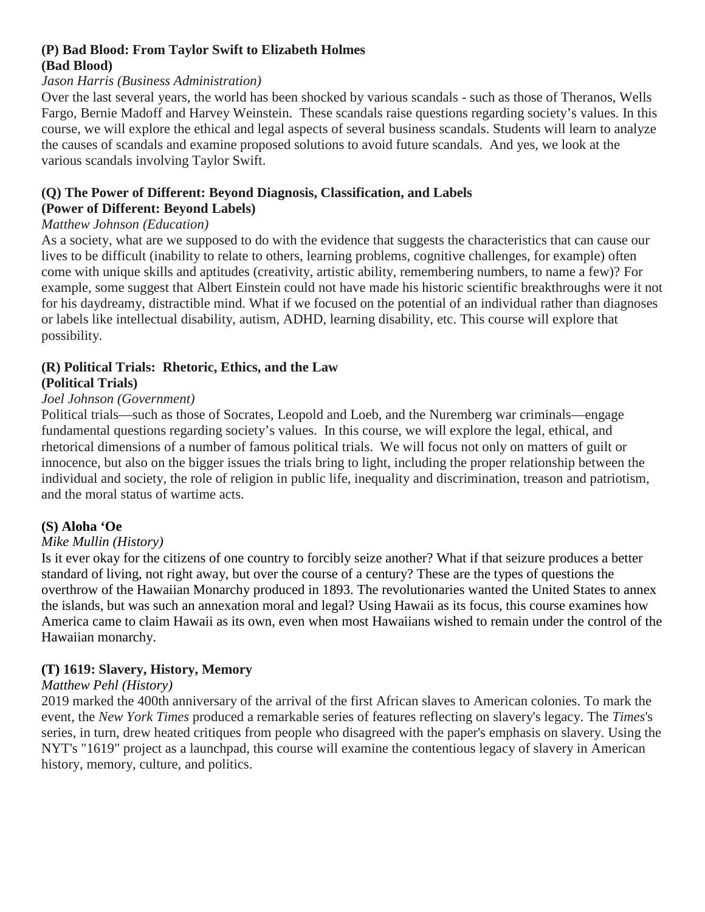# **(P) Bad Blood: From Taylor Swift to Elizabeth Holmes (Bad Blood)**

#### *Jason Harris (Business Administration)*

Over the last several years, the world has been shocked by various scandals - such as those of Theranos, Wells Fargo, Bernie Madoff and Harvey Weinstein. These scandals raise questions regarding society's values. In this course, we will explore the ethical and legal aspects of several business scandals. Students will learn to analyze the causes of scandals and examine proposed solutions to avoid future scandals. And yes, we look at the various scandals involving Taylor Swift.

# **(Q) The Power of Different: Beyond Diagnosis, Classification, and Labels**

# **(Power of Different: Beyond Labels)**

# *Matthew Johnson (Education)*

As a society, what are we supposed to do with the evidence that suggests the characteristics that can cause our lives to be difficult (inability to relate to others, learning problems, cognitive challenges, for example) often come with unique skills and aptitudes (creativity, artistic ability, remembering numbers, to name a few)? For example, some suggest that Albert Einstein could not have made his historic scientific breakthroughs were it not for his daydreamy, distractible mind. What if we focused on the potential of an individual rather than diagnoses or labels like intellectual disability, autism, ADHD, learning disability, etc. This course will explore that possibility.

#### **(R) Political Trials: Rhetoric, Ethics, and the Law (Political Trials)**

### *Joel Johnson (Government)*

Political trials—such as those of Socrates, Leopold and Loeb, and the Nuremberg war criminals—engage fundamental questions regarding society's values. In this course, we will explore the legal, ethical, and rhetorical dimensions of a number of famous political trials. We will focus not only on matters of guilt or innocence, but also on the bigger issues the trials bring to light, including the proper relationship between the individual and society, the role of religion in public life, inequality and discrimination, treason and patriotism, and the moral status of wartime acts.

### **(S) Aloha 'Oe**

### *Mike Mullin (History)*

Is it ever okay for the citizens of one country to forcibly seize another? What if that seizure produces a better standard of living, not right away, but over the course of a century? These are the types of questions the overthrow of the Hawaiian Monarchy produced in 1893. The revolutionaries wanted the United States to annex the islands, but was such an annexation moral and legal? Using Hawaii as its focus, this course examines how America came to claim Hawaii as its own, even when most Hawaiians wished to remain under the control of the Hawaiian monarchy.

# **(T) 1619: Slavery, History, Memory**

### *Matthew Pehl (History)*

2019 marked the 400th anniversary of the arrival of the first African slaves to American colonies. To mark the event, the *New York Times* produced a remarkable series of features reflecting on slavery's legacy. The *Times*'s series, in turn, drew heated critiques from people who disagreed with the paper's emphasis on slavery. Using the NYT's "1619" project as a launchpad, this course will examine the contentious legacy of slavery in American history, memory, culture, and politics.